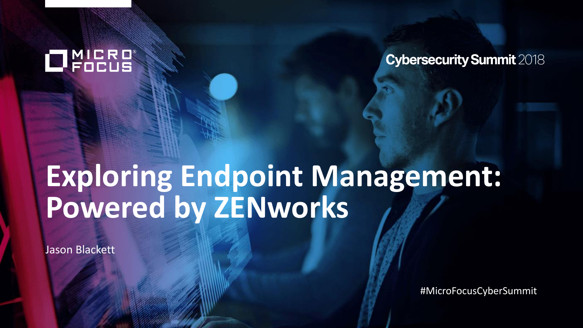## **NICRO**

**Cybersecurity Summit 2018** 

# **Exploring Endpoint Management: Powered by ZENworks**

Jason Blackett

#MicroFocusCyberSummit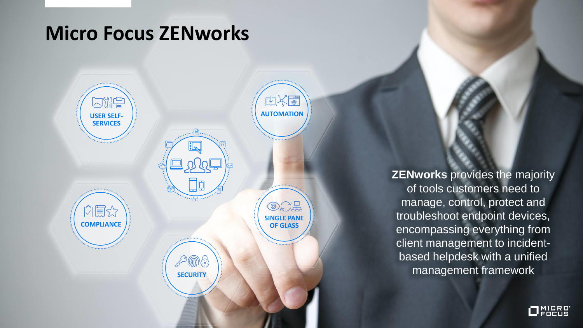#### **Micro Focus ZENworks**



**ZENworks** provides the majority of tools customers need to manage, control, protect and troubleshoot endpoint devices, encompassing everything from client management to incidentbased helpdesk with a unified management framework

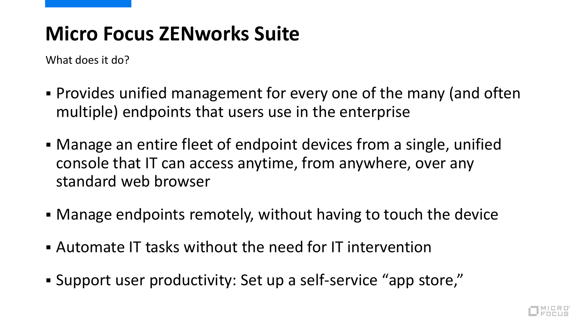## **Micro Focus ZENworks Suite**

What does it do?

- Provides unified management for every one of the many (and often multiple) endpoints that users use in the enterprise
- Manage an entire fleet of endpoint devices from a single, unified console that IT can access anytime, from anywhere, over any standard web browser
- Manage endpoints remotely, without having to touch the device
- Automate IT tasks without the need for IT intervention
- Support user productivity: Set up a self-service "app store,"

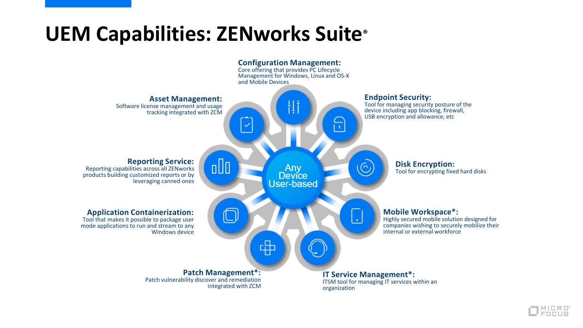

![](_page_3_Picture_1.jpeg)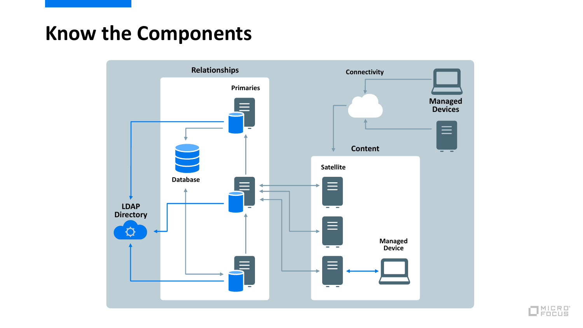## **Know the Components**

![](_page_4_Figure_1.jpeg)

![](_page_4_Picture_2.jpeg)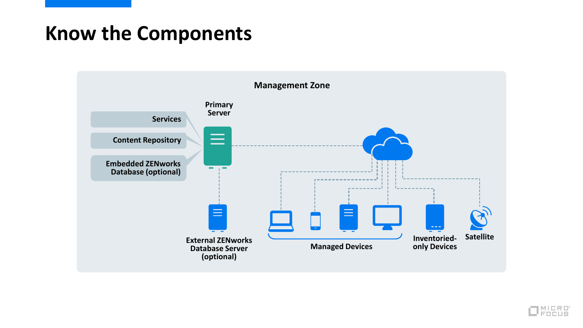## **Know the Components**

![](_page_5_Figure_1.jpeg)

![](_page_5_Picture_2.jpeg)